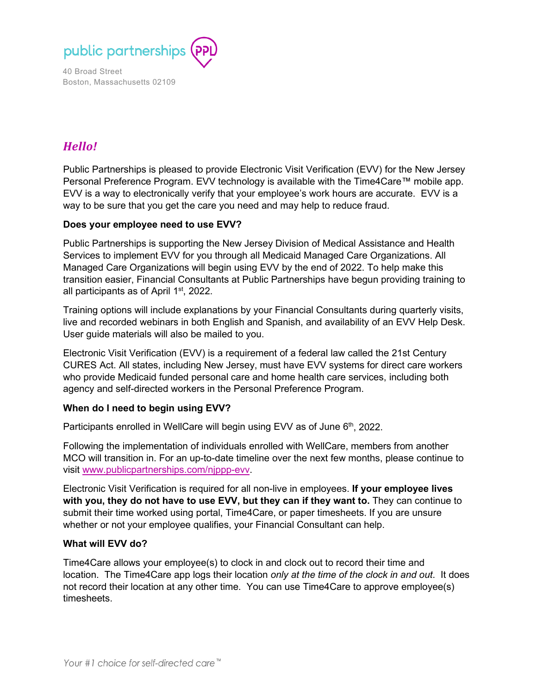

40 Broad Street Boston, Massachusetts 02109

## *Hello!*

Public Partnerships is pleased to provide Electronic Visit Verification (EVV) for the New Jersey Personal Preference Program. EVV technology is available with the Time4Care™ mobile app. EVV is a way to electronically verify that your employee's work hours are accurate. EVV is a way to be sure that you get the care you need and may help to reduce fraud.

## **Does your employee need to use EVV?**

Public Partnerships is supporting the New Jersey Division of Medical Assistance and Health Services to implement EVV for you through all Medicaid Managed Care Organizations. All Managed Care Organizations will begin using EVV by the end of 2022. To help make this transition easier, Financial Consultants at Public Partnerships have begun providing training to all participants as of April 1<sup>st</sup>, 2022.

Training options will include explanations by your Financial Consultants during quarterly visits, live and recorded webinars in both English and Spanish, and availability of an EVV Help Desk. User guide materials will also be mailed to you.

Electronic Visit Verification (EVV) is a requirement of a federal law called the 21st Century CURES Act. All states, including New Jersey, must have EVV systems for direct care workers who provide Medicaid funded personal care and home health care services, including both agency and self-directed workers in the Personal Preference Program.

## **When do I need to begin using EVV?**

Participants enrolled in WellCare will begin using EVV as of June 6<sup>th</sup>, 2022.

Following the implementation of individuals enrolled with WellCare, members from another MCO will transition in. For an up-to-date timeline over the next few months, please continue to visit [www.publicpartnerships.com/njppp-evv.](http://www.publicpartnerships.com/njppp-evv)

Electronic Visit Verification is required for all non-live in employees. **If your employee lives with you, they do not have to use EVV, but they can if they want to.** They can continue to submit their time worked using portal, Time4Care, or paper timesheets. If you are unsure whether or not your employee qualifies, your Financial Consultant can help.

## **What will EVV do?**

Time4Care allows your employee(s) to clock in and clock out to record their time and location. The Time4Care app logs their location *only at the time of the clock in and out*. It does not record their location at any other time. You can use Time4Care to approve employee(s) timesheets.